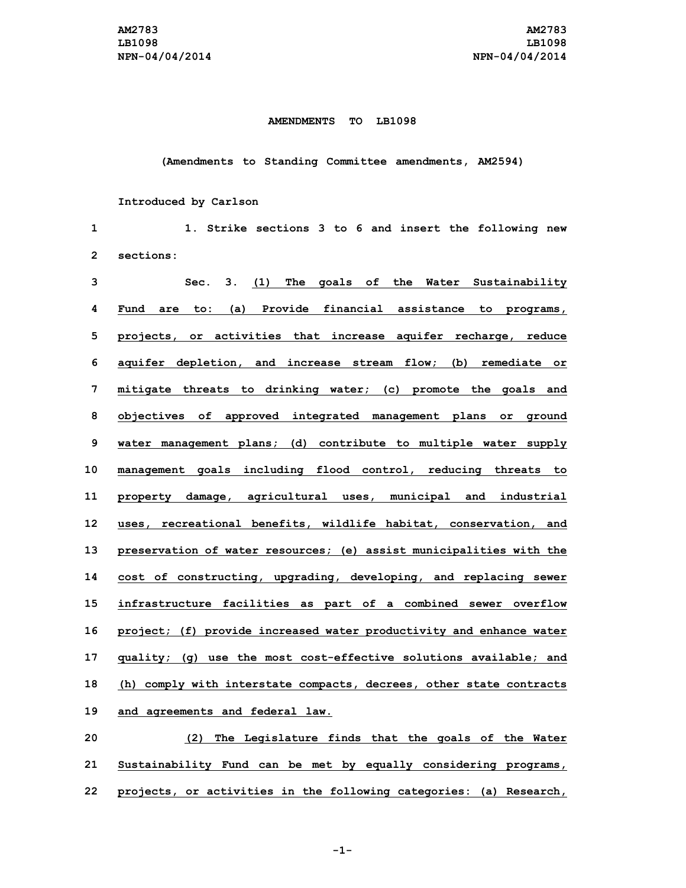### **AMENDMENTS TO LB1098**

### **(Amendments to Standing Committee amendments, AM2594)**

### **Introduced by Carlson**

 **1. Strike sections 3 to 6 and insert the following new sections: Sec. 3. (1) The goals of the Water Sustainability Fund are to: (a) Provide financial assistance to programs, projects, or activities that increase aquifer recharge, reduce aquifer depletion, and increase stream flow; (b) remediate or mitigate threats to drinking water; (c) promote the goals and objectives of approved integrated management plans or ground water management plans; (d) contribute to multiple water supply management goals including flood control, reducing threats to property damage, agricultural uses, municipal and industrial uses, recreational benefits, wildlife habitat, conservation, and preservation of water resources; (e) assist municipalities with the cost of constructing, upgrading, developing, and replacing sewer infrastructure facilities as part of <sup>a</sup> combined sewer overflow project; (f) provide increased water productivity and enhance water quality; (g) use the most cost-effective solutions available; and (h) comply with interstate compacts, decrees, other state contracts and agreements and federal law. (2) The Legislature finds that the goals of the Water Sustainability Fund can be met by equally considering programs,**

**22 projects, or activities in the following categories: (a) Research,**

**-1-**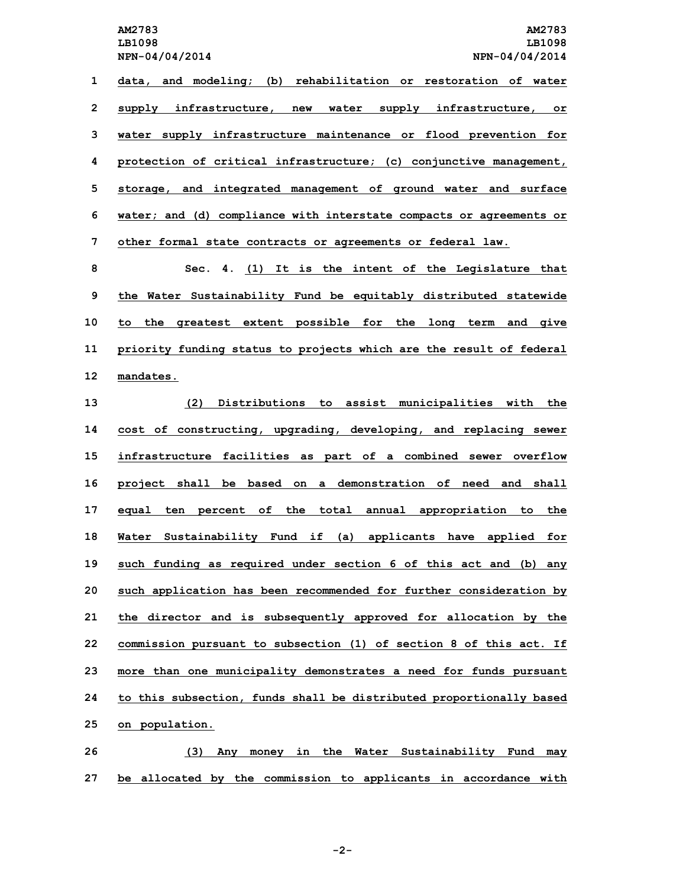**LB1098 LB1098**

 **data, and modeling; (b) rehabilitation or restoration of water supply infrastructure, new water supply infrastructure, or water supply infrastructure maintenance or flood prevention for protection of critical infrastructure; (c) conjunctive management, storage, and integrated management of ground water and surface water; and (d) compliance with interstate compacts or agreements or other formal state contracts or agreements or federal law.**

 **Sec. 4. (1) It is the intent of the Legislature that the Water Sustainability Fund be equitably distributed statewide to the greatest extent possible for the long term and give priority funding status to projects which are the result of federal mandates.**

 **(2) Distributions to assist municipalities with the cost of constructing, upgrading, developing, and replacing sewer infrastructure facilities as part of <sup>a</sup> combined sewer overflow project shall be based on <sup>a</sup> demonstration of need and shall equal ten percent of the total annual appropriation to the Water Sustainability Fund if (a) applicants have applied for such funding as required under section 6 of this act and (b) any such application has been recommended for further consideration by the director and is subsequently approved for allocation by the commission pursuant to subsection (1) of section 8 of this act. If more than one municipality demonstrates <sup>a</sup> need for funds pursuant to this subsection, funds shall be distributed proportionally based on population.**

**26 (3) Any money in the Water Sustainability Fund may 27 be allocated by the commission to applicants in accordance with**

**-2-**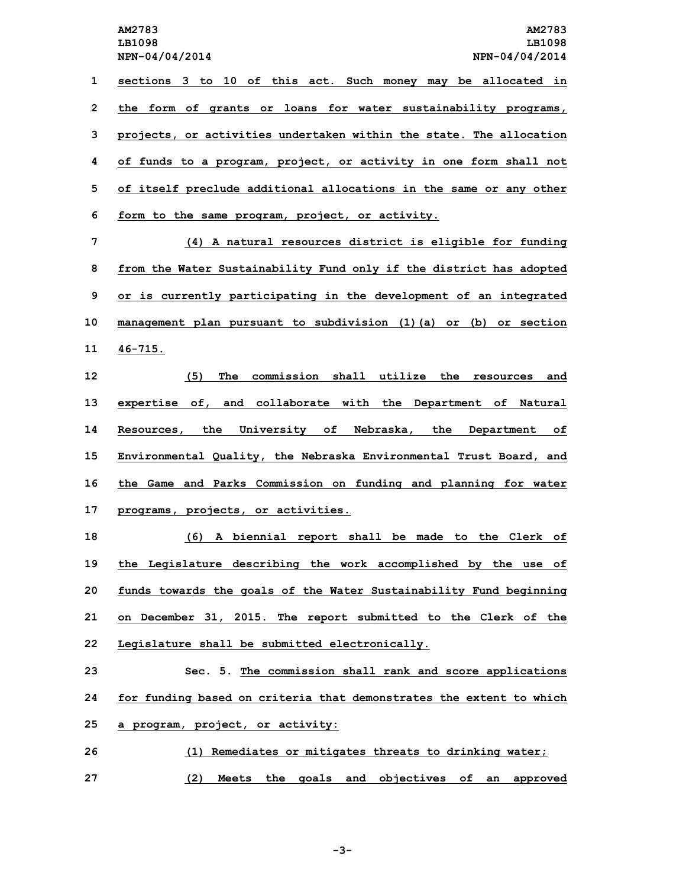**sections 3 to 10 of this act. Such money may be allocated in the form of grants or loans for water sustainability programs, projects, or activities undertaken within the state. The allocation of funds to <sup>a</sup> program, project, or activity in one form shall not of itself preclude additional allocations in the same or any other form to the same program, project, or activity. (4) <sup>A</sup> natural resources district is eligible for funding**

 **from the Water Sustainability Fund only if the district has adopted or is currently participating in the development of an integrated management plan pursuant to subdivision (1)(a) or (b) or section 11 46-715.**

 **(5) The commission shall utilize the resources and expertise of, and collaborate with the Department of Natural Resources, the University of Nebraska, the Department of Environmental Quality, the Nebraska Environmental Trust Board, and the Game and Parks Commission on funding and planning for water programs, projects, or activities.**

 **(6) <sup>A</sup> biennial report shall be made to the Clerk of the Legislature describing the work accomplished by the use of funds towards the goals of the Water Sustainability Fund beginning on December 31, 2015. The report submitted to the Clerk of the Legislature shall be submitted electronically.**

**23 Sec. 5. The commission shall rank and score applications 24 for funding based on criteria that demonstrates the extent to which 25 <sup>a</sup> program, project, or activity:**

**26 (1) Remediates or mitigates threats to drinking water; 27 (2) Meets the goals and objectives of an approved**

**-3-**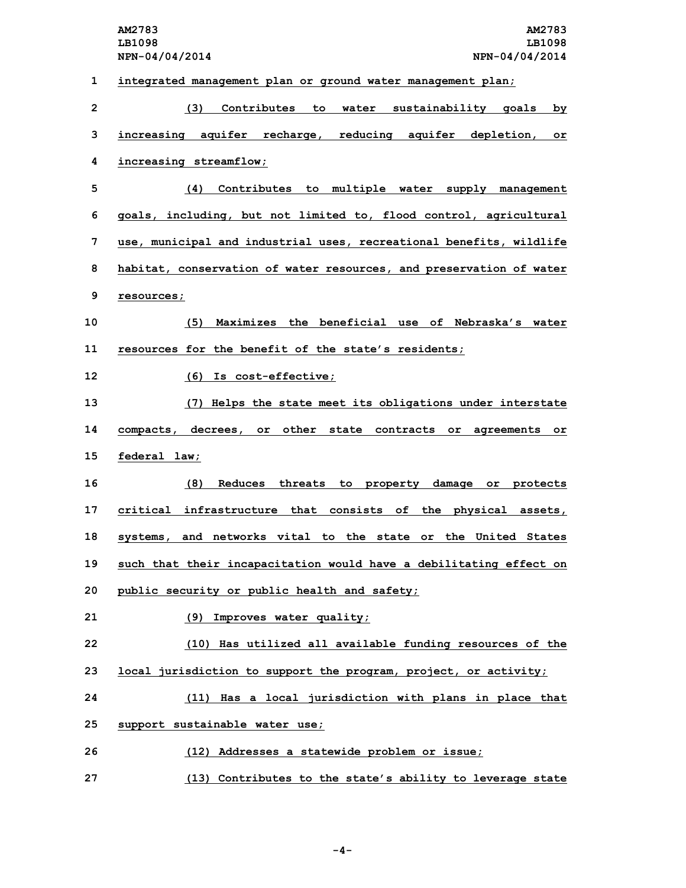**AM2783 AM2783 LB1098 LB1098 NPN-04/04/2014 NPN-04/04/2014 integrated management plan or ground water management plan; (3) Contributes to water sustainability goals by increasing aquifer recharge, reducing aquifer depletion, or increasing streamflow; (4) Contributes to multiple water supply management goals, including, but not limited to, flood control, agricultural use, municipal and industrial uses, recreational benefits, wildlife habitat, conservation of water resources, and preservation of water resources; (5) Maximizes the beneficial use of Nebraska's water resources for the benefit of the state's residents; (6) Is cost-effective; (7) Helps the state meet its obligations under interstate compacts, decrees, or other state contracts or agreements or federal law; (8) Reduces threats to property damage or protects critical infrastructure that consists of the physical assets, systems, and networks vital to the state or the United States such that their incapacitation would have <sup>a</sup> debilitating effect on public security or public health and safety; (9) Improves water quality; (10) Has utilized all available funding resources of the local jurisdiction to support the program, project, or activity; (11) Has <sup>a</sup> local jurisdiction with plans in place that support sustainable water use; (12) Addresses <sup>a</sup> statewide problem or issue; (13) Contributes to the state's ability to leverage state**

**-4-**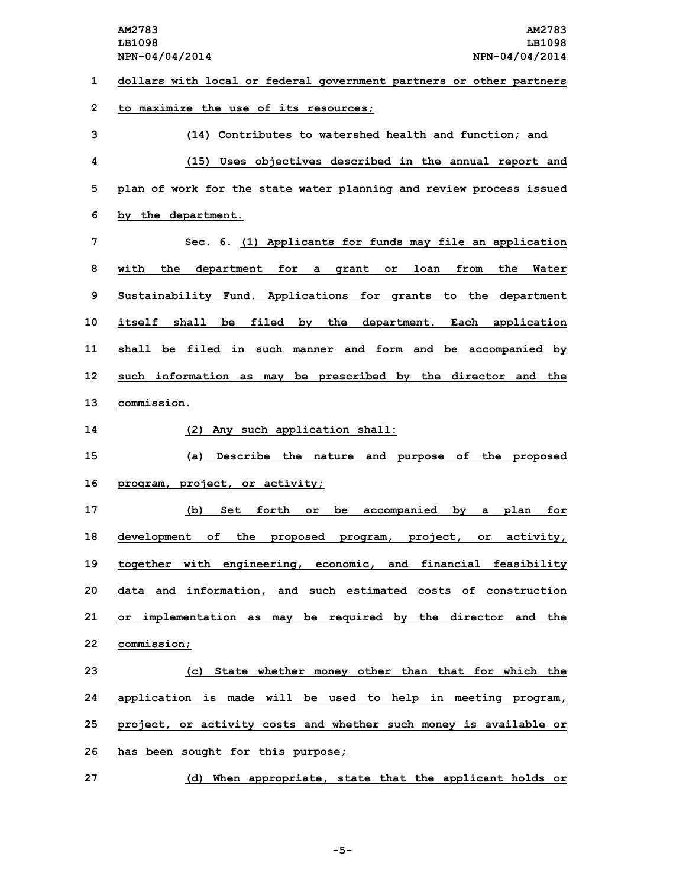**dollars with local or federal government partners or other partners to maximize the use of its resources; (14) Contributes to watershed health and function; and (15) Uses objectives described in the annual report and plan of work for the state water planning and review process issued by the department. Sec. 6. (1) Applicants for funds may file an application with the department for <sup>a</sup> grant or loan from the Water Sustainability Fund. Applications for grants to the department itself shall be filed by the department. Each application**

**11 shall be filed in such manner and form and be accompanied by 12 such information as may be prescribed by the director and the 13 commission.**

**14 (2) Any such application shall:**

**15 (a) Describe the nature and purpose of the proposed 16 program, project, or activity;**

 **(b) Set forth or be accompanied by <sup>a</sup> plan for development of the proposed program, project, or activity, together with engineering, economic, and financial feasibility data and information, and such estimated costs of construction or implementation as may be required by the director and the commission;**

 **(c) State whether money other than that for which the application is made will be used to help in meeting program, project, or activity costs and whether such money is available or has been sought for this purpose;**

**27 (d) When appropriate, state that the applicant holds or**

**-5-**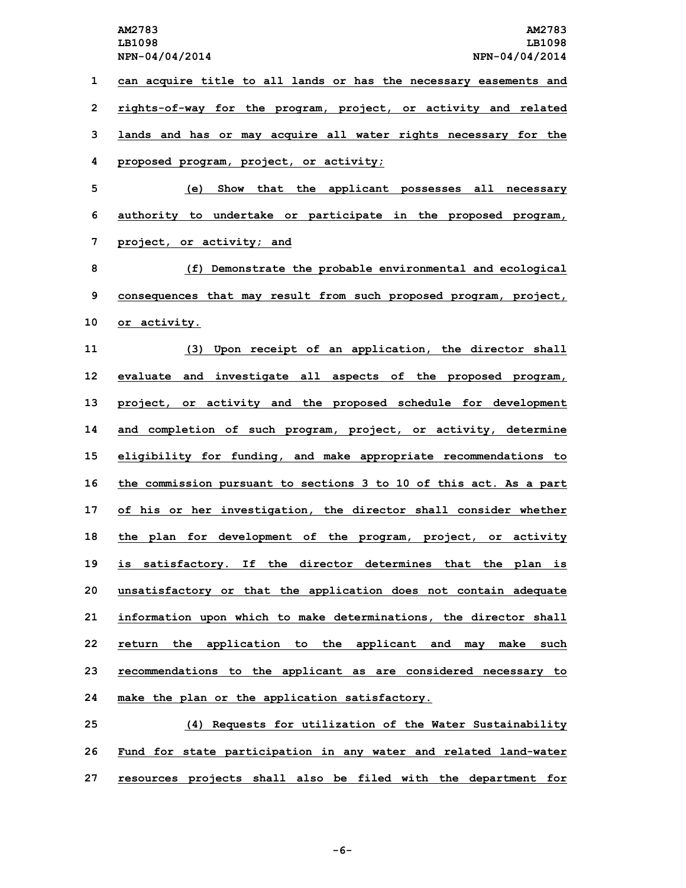**NPN-04/04/2014 NPN-04/04/2014 can acquire title to all lands or has the necessary easements and rights-of-way for the program, project, or activity and related lands and has or may acquire all water rights necessary for the proposed program, project, or activity; (e) Show that the applicant possesses all necessary authority to undertake or participate in the proposed program, project, or activity; and (f) Demonstrate the probable environmental and ecological consequences that may result from such proposed program, project, or activity. (3) Upon receipt of an application, the director shall evaluate and investigate all aspects of the proposed program, project, or activity and the proposed schedule for development and completion of such program, project, or activity, determine eligibility for funding, and make appropriate recommendations to the commission pursuant to sections 3 to 10 of this act. As <sup>a</sup> part of his or her investigation, the director shall consider whether the plan for development of the program, project, or activity is satisfactory. If the director determines that the plan is unsatisfactory or that the application does not contain adequate information upon which to make determinations, the director shall return the application to the applicant and may make such recommendations to the applicant as are considered necessary to make the plan or the application satisfactory. (4) Requests for utilization of the Water Sustainability**

**26 Fund for state participation in any water and related land-water 27 resources projects shall also be filed with the department for**

**-6-**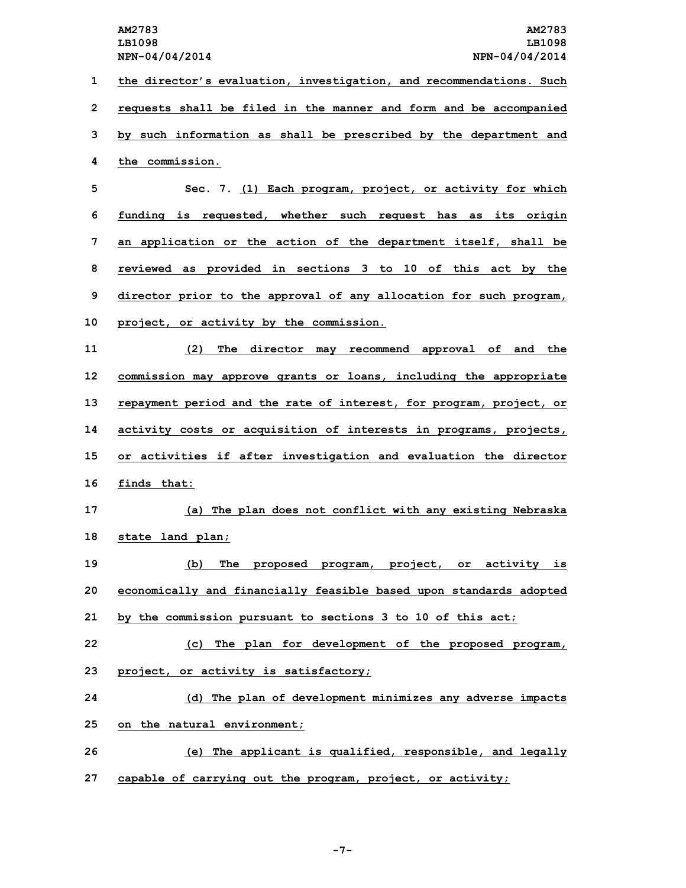**the director's evaluation, investigation, and recommendations. Such requests shall be filed in the manner and form and be accompanied by such information as shall be prescribed by the department and the commission.**

 **Sec. 7. (1) Each program, project, or activity for which funding is requested, whether such request has as its origin an application or the action of the department itself, shall be reviewed as provided in sections 3 to 10 of this act by the director prior to the approval of any allocation for such program, project, or activity by the commission.**

 **(2) The director may recommend approval of and the commission may approve grants or loans, including the appropriate repayment period and the rate of interest, for program, project, or activity costs or acquisition of interests in programs, projects, or activities if after investigation and evaluation the director finds that:**

**17 (a) The plan does not conflict with any existing Nebraska 18 state land plan;**

**19 (b) The proposed program, project, or activity is 20 economically and financially feasible based upon standards adopted 21 by the commission pursuant to sections 3 to 10 of this act;**

**22 (c) The plan for development of the proposed program,**

**23 project, or activity is satisfactory;**

**24 (d) The plan of development minimizes any adverse impacts 25 on the natural environment;**

**26 (e) The applicant is qualified, responsible, and legally 27 capable of carrying out the program, project, or activity;**

**-7-**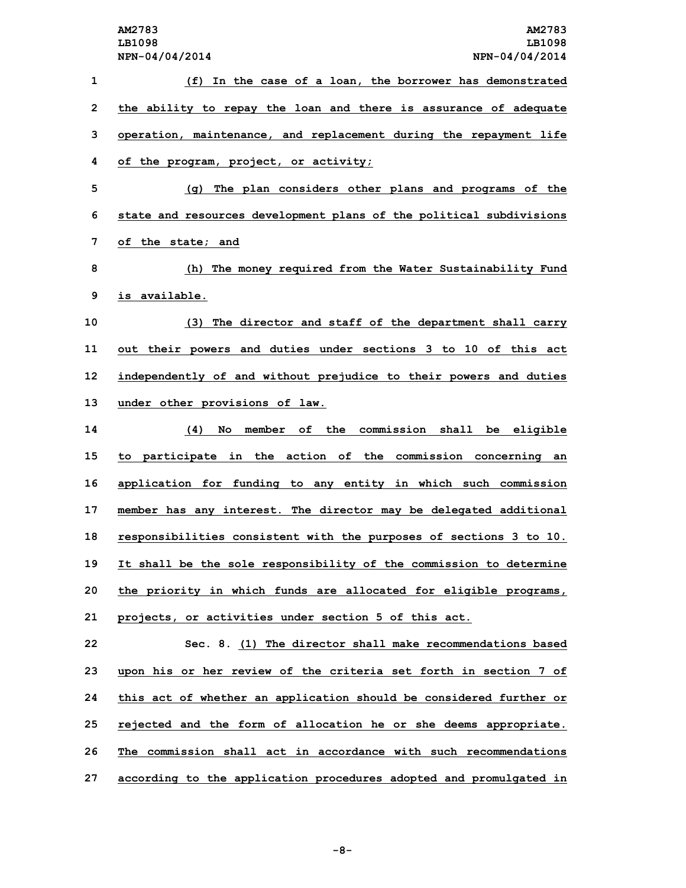**(f) In the case of <sup>a</sup> loan, the borrower has demonstrated the ability to repay the loan and there is assurance of adequate operation, maintenance, and replacement during the repayment life of the program, project, or activity; (g) The plan considers other plans and programs of the state and resources development plans of the political subdivisions of the state; and (h) The money required from the Water Sustainability Fund is available. (3) The director and staff of the department shall carry out their powers and duties under sections 3 to 10 of this act independently of and without prejudice to their powers and duties under other provisions of law. (4) No member of the commission shall be eligible to participate in the action of the commission concerning an application for funding to any entity in which such commission member has any interest. The director may be delegated additional responsibilities consistent with the purposes of sections 3 to 10. It shall be the sole responsibility of the commission to determine the priority in which funds are allocated for eligible programs, projects, or activities under section 5 of this act. Sec. 8. (1) The director shall make recommendations based upon his or her review of the criteria set forth in section 7 of this act of whether an application should be considered further or rejected and the form of allocation he or she deems appropriate. The commission shall act in accordance with such recommendations**

**27 according to the application procedures adopted and promulgated in**

**-8-**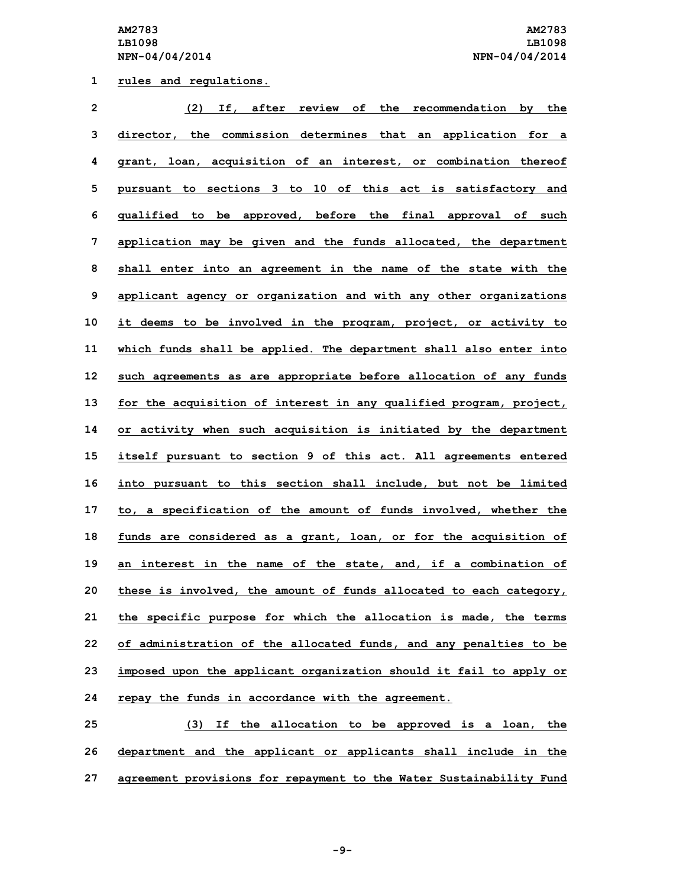**1 rules and regulations.**

| $\overline{2}$ | (2)<br>If, after review of the recommendation by the               |
|----------------|--------------------------------------------------------------------|
| 3              | director, the commission determines that an application for a      |
| 4              | grant, loan, acquisition of an interest, or combination thereof    |
| 5              | pursuant to sections 3 to 10 of this act is satisfactory and       |
| 6              | qualified to be approved, before the final approval of such        |
| 7              | application may be given and the funds allocated, the department   |
| 8              | shall enter into an agreement in the name of the state with the    |
| 9              | applicant agency or organization and with any other organizations  |
| 10             | it deems to be involved in the program, project, or activity to    |
| 11             | which funds shall be applied. The department shall also enter into |
| 12             | such agreements as are appropriate before allocation of any funds  |
| 13             | for the acquisition of interest in any qualified program, project, |
| 14             | or activity when such acquisition is initiated by the department   |
| 15             | itself pursuant to section 9 of this act. All agreements entered   |
| 16             | into pursuant to this section shall include, but not be limited    |
| 17             | to, a specification of the amount of funds involved, whether the   |
| 18             | funds are considered as a grant, loan, or for the acquisition of   |
| 19             | an interest in the name of the state, and, if a combination of     |
| 20             | these is involved, the amount of funds allocated to each category, |
| 21             | the specific purpose for which the allocation is made, the terms   |
| 22             | of administration of the allocated funds, and any penalties to be  |
| 23             | imposed upon the applicant organization should it fail to apply or |
| 24             | repay the funds in accordance with the agreement.                  |
| 25             | (3)<br>If the allocation to be approved is a loan, the             |

**26 department and the applicant or applicants shall include in the 27 agreement provisions for repayment to the Water Sustainability Fund**

**-9-**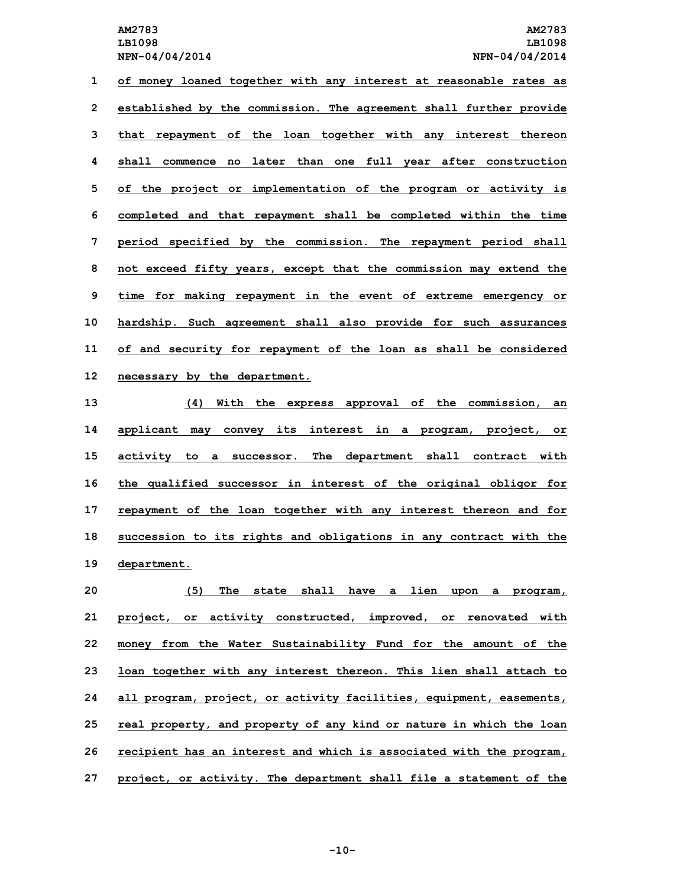**of money loaned together with any interest at reasonable rates as established by the commission. The agreement shall further provide that repayment of the loan together with any interest thereon shall commence no later than one full year after construction of the project or implementation of the program or activity is completed and that repayment shall be completed within the time period specified by the commission. The repayment period shall not exceed fifty years, except that the commission may extend the time for making repayment in the event of extreme emergency or hardship. Such agreement shall also provide for such assurances of and security for repayment of the loan as shall be considered necessary by the department.**

 **(4) With the express approval of the commission, an applicant may convey its interest in <sup>a</sup> program, project, or activity to <sup>a</sup> successor. The department shall contract with the qualified successor in interest of the original obligor for repayment of the loan together with any interest thereon and for succession to its rights and obligations in any contract with the department.**

 **(5) The state shall have <sup>a</sup> lien upon <sup>a</sup> program, project, or activity constructed, improved, or renovated with money from the Water Sustainability Fund for the amount of the loan together with any interest thereon. This lien shall attach to all program, project, or activity facilities, equipment, easements, real property, and property of any kind or nature in which the loan recipient has an interest and which is associated with the program, project, or activity. The department shall file <sup>a</sup> statement of the**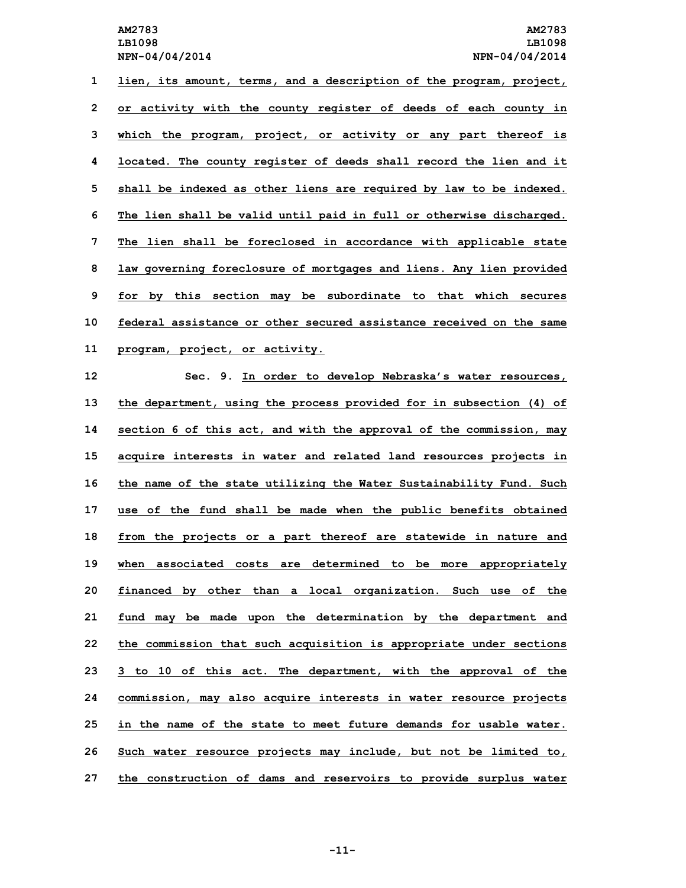**lien, its amount, terms, and <sup>a</sup> description of the program, project, or activity with the county register of deeds of each county in which the program, project, or activity or any part thereof is located. The county register of deeds shall record the lien and it shall be indexed as other liens are required by law to be indexed. The lien shall be valid until paid in full or otherwise discharged. The lien shall be foreclosed in accordance with applicable state law governing foreclosure of mortgages and liens. Any lien provided for by this section may be subordinate to that which secures federal assistance or other secured assistance received on the same program, project, or activity. Sec. 9. In order to develop Nebraska's water resources, the department, using the process provided for in subsection (4) of**

 **section 6 of this act, and with the approval of the commission, may acquire interests in water and related land resources projects in the name of the state utilizing the Water Sustainability Fund. Such use of the fund shall be made when the public benefits obtained from the projects or <sup>a</sup> part thereof are statewide in nature and when associated costs are determined to be more appropriately financed by other than <sup>a</sup> local organization. Such use of the fund may be made upon the determination by the department and the commission that such acquisition is appropriate under sections 3 to 10 of this act. The department, with the approval of the commission, may also acquire interests in water resource projects in the name of the state to meet future demands for usable water. Such water resource projects may include, but not be limited to, the construction of dams and reservoirs to provide surplus water**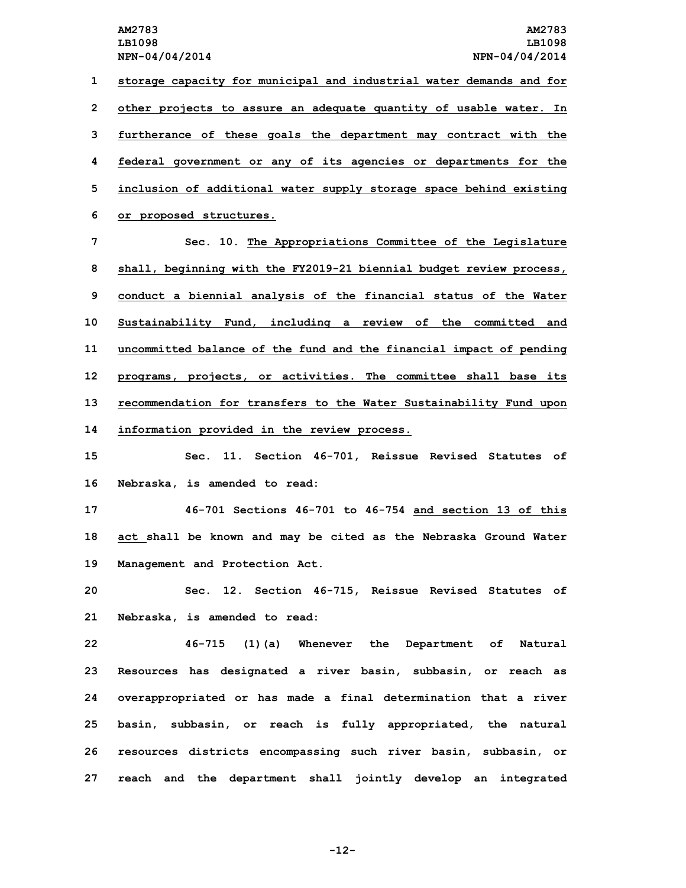**storage capacity for municipal and industrial water demands and for other projects to assure an adequate quantity of usable water. In furtherance of these goals the department may contract with the federal government or any of its agencies or departments for the inclusion of additional water supply storage space behind existing or proposed structures.**

 **Sec. 10. The Appropriations Committee of the Legislature shall, beginning with the FY2019-21 biennial budget review process, conduct <sup>a</sup> biennial analysis of the financial status of the Water Sustainability Fund, including <sup>a</sup> review of the committed and uncommitted balance of the fund and the financial impact of pending programs, projects, or activities. The committee shall base its recommendation for transfers to the Water Sustainability Fund upon information provided in the review process.**

**15 Sec. 11. Section 46-701, Reissue Revised Statutes of 16 Nebraska, is amended to read:**

**17 46-701 Sections 46-701 to 46-754 and section 13 of this 18 act shall be known and may be cited as the Nebraska Ground Water 19 Management and Protection Act.**

**20 Sec. 12. Section 46-715, Reissue Revised Statutes of 21 Nebraska, is amended to read:**

 **46-715 (1)(a) Whenever the Department of Natural Resources has designated <sup>a</sup> river basin, subbasin, or reach as overappropriated or has made <sup>a</sup> final determination that <sup>a</sup> river basin, subbasin, or reach is fully appropriated, the natural resources districts encompassing such river basin, subbasin, or reach and the department shall jointly develop an integrated**

**-12-**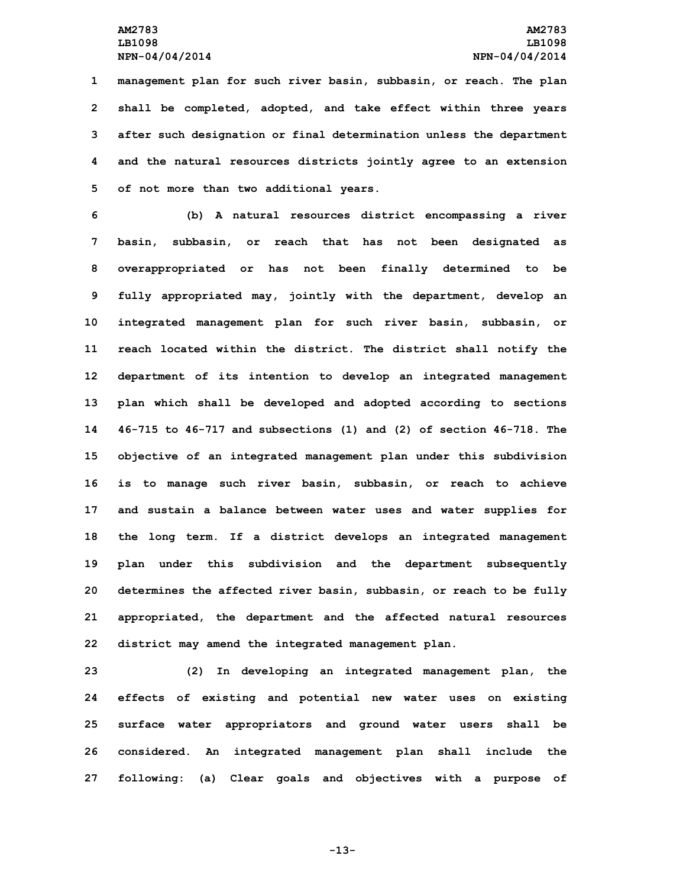**management plan for such river basin, subbasin, or reach. The plan shall be completed, adopted, and take effect within three years after such designation or final determination unless the department and the natural resources districts jointly agree to an extension of not more than two additional years.**

 **(b) <sup>A</sup> natural resources district encompassing <sup>a</sup> river basin, subbasin, or reach that has not been designated as overappropriated or has not been finally determined to be fully appropriated may, jointly with the department, develop an integrated management plan for such river basin, subbasin, or reach located within the district. The district shall notify the department of its intention to develop an integrated management plan which shall be developed and adopted according to sections 46-715 to 46-717 and subsections (1) and (2) of section 46-718. The objective of an integrated management plan under this subdivision is to manage such river basin, subbasin, or reach to achieve and sustain <sup>a</sup> balance between water uses and water supplies for the long term. If <sup>a</sup> district develops an integrated management plan under this subdivision and the department subsequently determines the affected river basin, subbasin, or reach to be fully appropriated, the department and the affected natural resources district may amend the integrated management plan.**

 **(2) In developing an integrated management plan, the effects of existing and potential new water uses on existing surface water appropriators and ground water users shall be considered. An integrated management plan shall include the following: (a) Clear goals and objectives with <sup>a</sup> purpose of**

**-13-**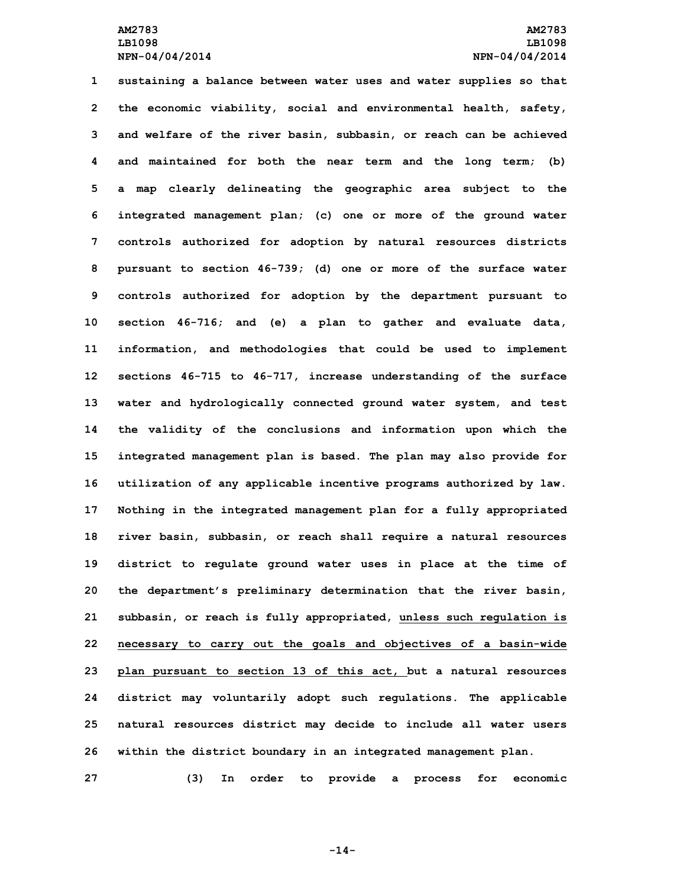**sustaining <sup>a</sup> balance between water uses and water supplies so that the economic viability, social and environmental health, safety, and welfare of the river basin, subbasin, or reach can be achieved and maintained for both the near term and the long term; (b) <sup>a</sup> map clearly delineating the geographic area subject to the integrated management plan; (c) one or more of the ground water controls authorized for adoption by natural resources districts pursuant to section 46-739; (d) one or more of the surface water controls authorized for adoption by the department pursuant to section 46-716; and (e) <sup>a</sup> plan to gather and evaluate data, information, and methodologies that could be used to implement sections 46-715 to 46-717, increase understanding of the surface water and hydrologically connected ground water system, and test the validity of the conclusions and information upon which the integrated management plan is based. The plan may also provide for utilization of any applicable incentive programs authorized by law. Nothing in the integrated management plan for <sup>a</sup> fully appropriated river basin, subbasin, or reach shall require <sup>a</sup> natural resources district to regulate ground water uses in place at the time of the department's preliminary determination that the river basin, subbasin, or reach is fully appropriated, unless such regulation is necessary to carry out the goals and objectives of <sup>a</sup> basin-wide plan pursuant to section 13 of this act, but <sup>a</sup> natural resources district may voluntarily adopt such regulations. The applicable natural resources district may decide to include all water users within the district boundary in an integrated management plan. (3) In order to provide <sup>a</sup> process for economic**

**-14-**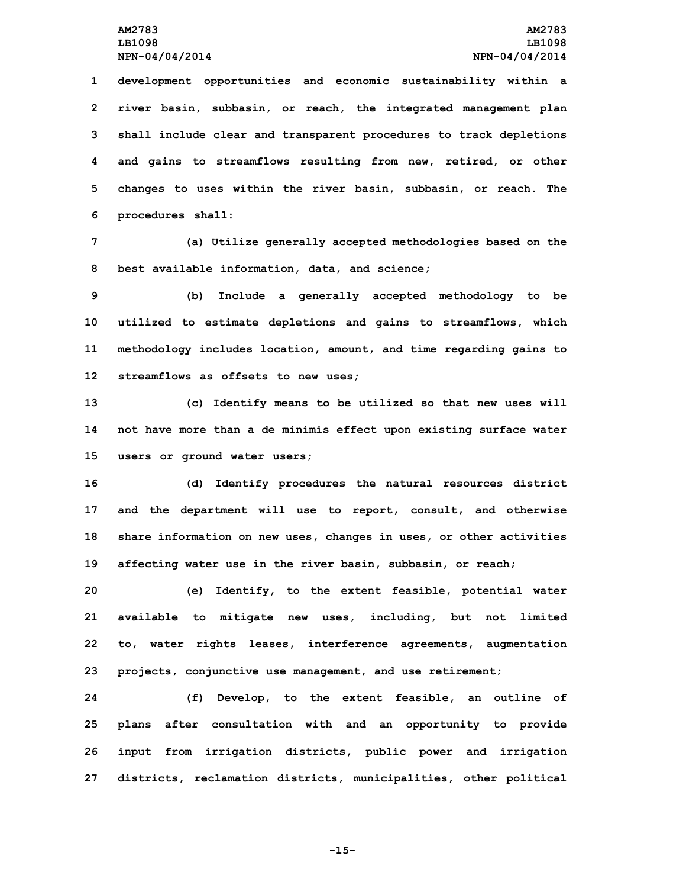**development opportunities and economic sustainability within <sup>a</sup> river basin, subbasin, or reach, the integrated management plan shall include clear and transparent procedures to track depletions and gains to streamflows resulting from new, retired, or other changes to uses within the river basin, subbasin, or reach. The procedures shall:**

**7 (a) Utilize generally accepted methodologies based on the 8 best available information, data, and science;**

 **(b) Include <sup>a</sup> generally accepted methodology to be utilized to estimate depletions and gains to streamflows, which methodology includes location, amount, and time regarding gains to streamflows as offsets to new uses;**

**13 (c) Identify means to be utilized so that new uses will 14 not have more than <sup>a</sup> de minimis effect upon existing surface water 15 users or ground water users;**

 **(d) Identify procedures the natural resources district and the department will use to report, consult, and otherwise share information on new uses, changes in uses, or other activities affecting water use in the river basin, subbasin, or reach;**

 **(e) Identify, to the extent feasible, potential water available to mitigate new uses, including, but not limited to, water rights leases, interference agreements, augmentation projects, conjunctive use management, and use retirement;**

 **(f) Develop, to the extent feasible, an outline of plans after consultation with and an opportunity to provide input from irrigation districts, public power and irrigation districts, reclamation districts, municipalities, other political**

**-15-**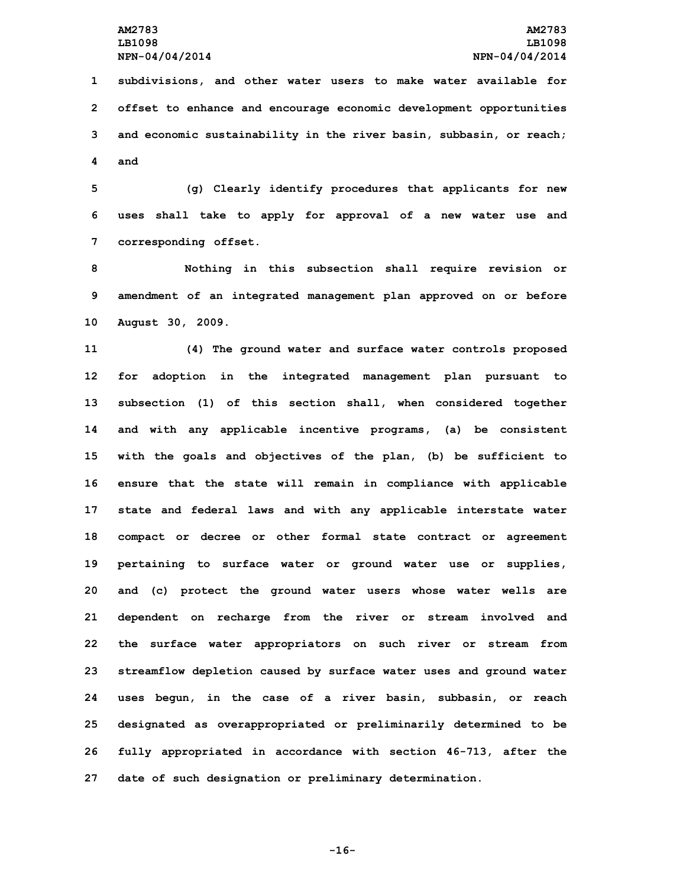**subdivisions, and other water users to make water available for offset to enhance and encourage economic development opportunities and economic sustainability in the river basin, subbasin, or reach; 4 and**

**5 (g) Clearly identify procedures that applicants for new 6 uses shall take to apply for approval of <sup>a</sup> new water use and 7 corresponding offset.**

**8 Nothing in this subsection shall require revision or 9 amendment of an integrated management plan approved on or before 10 August 30, 2009.**

 **(4) The ground water and surface water controls proposed for adoption in the integrated management plan pursuant to subsection (1) of this section shall, when considered together and with any applicable incentive programs, (a) be consistent with the goals and objectives of the plan, (b) be sufficient to ensure that the state will remain in compliance with applicable state and federal laws and with any applicable interstate water compact or decree or other formal state contract or agreement pertaining to surface water or ground water use or supplies, and (c) protect the ground water users whose water wells are dependent on recharge from the river or stream involved and the surface water appropriators on such river or stream from streamflow depletion caused by surface water uses and ground water uses begun, in the case of <sup>a</sup> river basin, subbasin, or reach designated as overappropriated or preliminarily determined to be fully appropriated in accordance with section 46-713, after the date of such designation or preliminary determination.**

**-16-**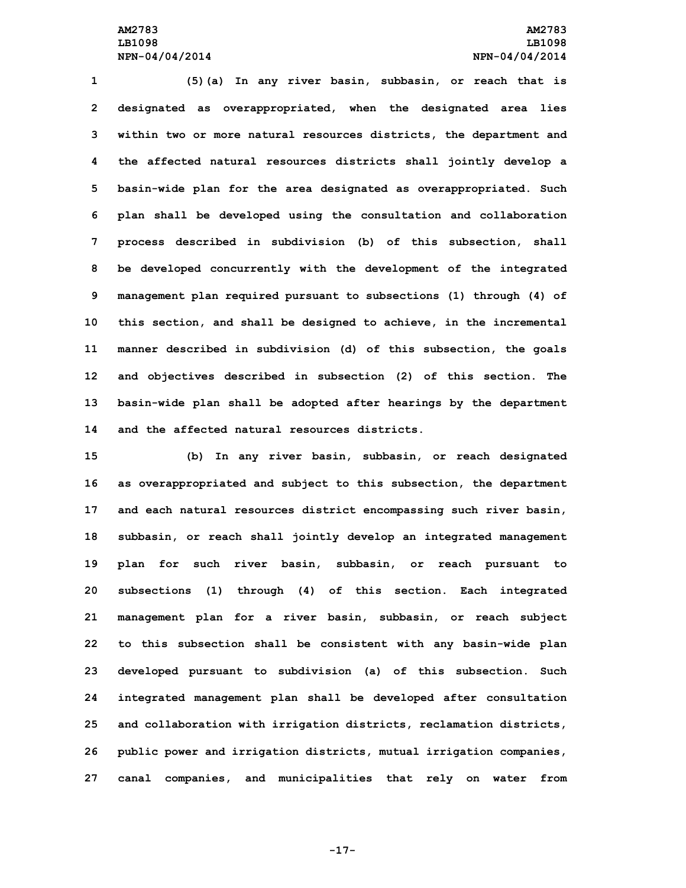**(5)(a) In any river basin, subbasin, or reach that is designated as overappropriated, when the designated area lies within two or more natural resources districts, the department and the affected natural resources districts shall jointly develop <sup>a</sup> basin-wide plan for the area designated as overappropriated. Such plan shall be developed using the consultation and collaboration process described in subdivision (b) of this subsection, shall be developed concurrently with the development of the integrated management plan required pursuant to subsections (1) through (4) of this section, and shall be designed to achieve, in the incremental manner described in subdivision (d) of this subsection, the goals and objectives described in subsection (2) of this section. The basin-wide plan shall be adopted after hearings by the department and the affected natural resources districts.**

 **(b) In any river basin, subbasin, or reach designated as overappropriated and subject to this subsection, the department and each natural resources district encompassing such river basin, subbasin, or reach shall jointly develop an integrated management plan for such river basin, subbasin, or reach pursuant to subsections (1) through (4) of this section. Each integrated management plan for <sup>a</sup> river basin, subbasin, or reach subject to this subsection shall be consistent with any basin-wide plan developed pursuant to subdivision (a) of this subsection. Such integrated management plan shall be developed after consultation and collaboration with irrigation districts, reclamation districts, public power and irrigation districts, mutual irrigation companies, canal companies, and municipalities that rely on water from**

**-17-**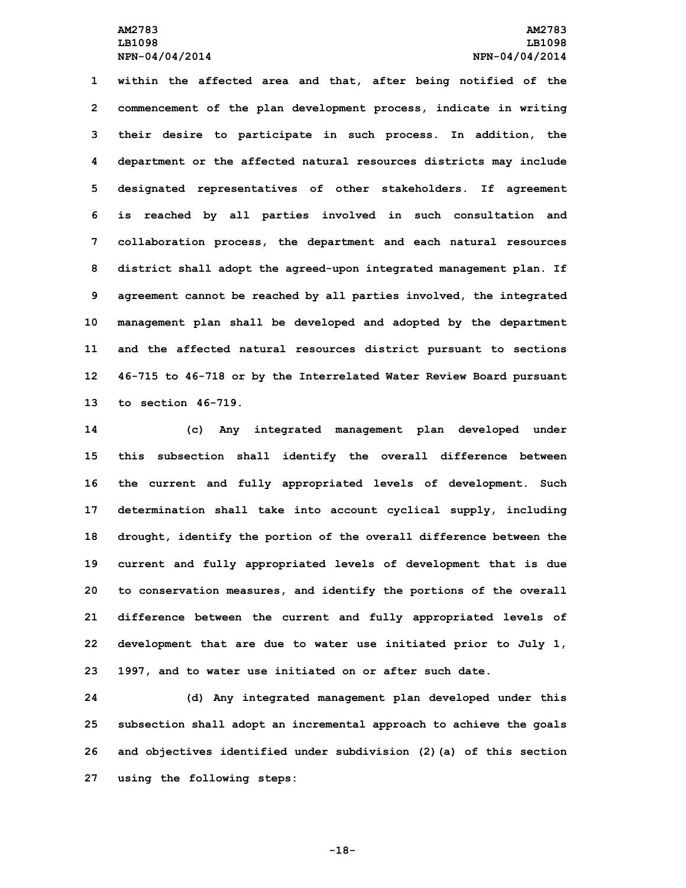**within the affected area and that, after being notified of the commencement of the plan development process, indicate in writing their desire to participate in such process. In addition, the department or the affected natural resources districts may include designated representatives of other stakeholders. If agreement is reached by all parties involved in such consultation and collaboration process, the department and each natural resources district shall adopt the agreed-upon integrated management plan. If agreement cannot be reached by all parties involved, the integrated management plan shall be developed and adopted by the department and the affected natural resources district pursuant to sections 46-715 to 46-718 or by the Interrelated Water Review Board pursuant to section 46-719.**

 **(c) Any integrated management plan developed under this subsection shall identify the overall difference between the current and fully appropriated levels of development. Such determination shall take into account cyclical supply, including drought, identify the portion of the overall difference between the current and fully appropriated levels of development that is due to conservation measures, and identify the portions of the overall difference between the current and fully appropriated levels of development that are due to water use initiated prior to July 1, 1997, and to water use initiated on or after such date.**

 **(d) Any integrated management plan developed under this subsection shall adopt an incremental approach to achieve the goals and objectives identified under subdivision (2)(a) of this section using the following steps:**

**-18-**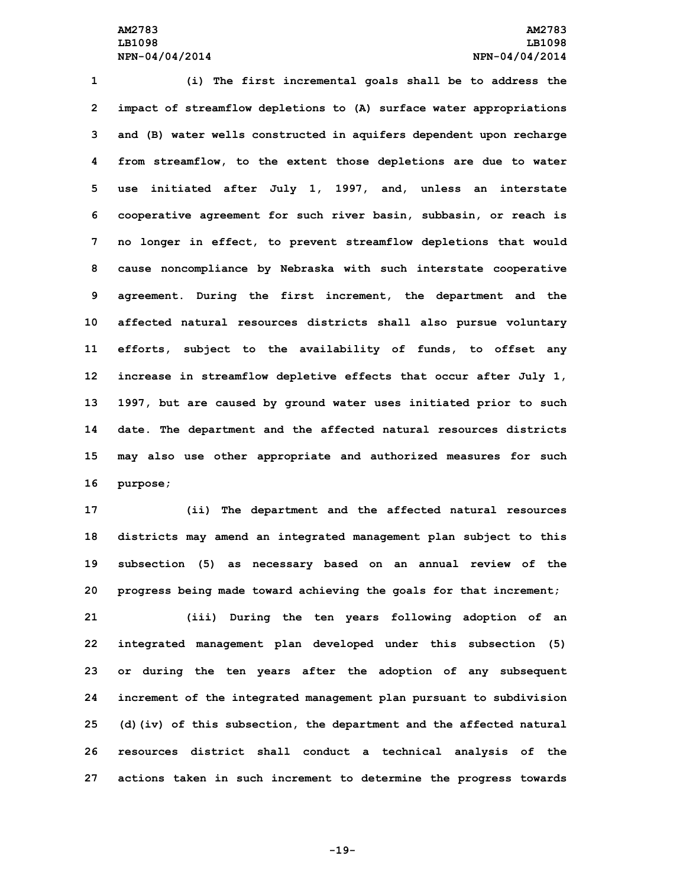## **AM2783 AM2783 LB1098 LB1098 NPN-04/04/2014 NPN-04/04/2014**

 **(i) The first incremental goals shall be to address the impact of streamflow depletions to (A) surface water appropriations and (B) water wells constructed in aquifers dependent upon recharge from streamflow, to the extent those depletions are due to water use initiated after July 1, 1997, and, unless an interstate cooperative agreement for such river basin, subbasin, or reach is no longer in effect, to prevent streamflow depletions that would cause noncompliance by Nebraska with such interstate cooperative agreement. During the first increment, the department and the affected natural resources districts shall also pursue voluntary efforts, subject to the availability of funds, to offset any increase in streamflow depletive effects that occur after July 1, 1997, but are caused by ground water uses initiated prior to such date. The department and the affected natural resources districts may also use other appropriate and authorized measures for such 16 purpose;**

 **(ii) The department and the affected natural resources districts may amend an integrated management plan subject to this subsection (5) as necessary based on an annual review of the progress being made toward achieving the goals for that increment; (iii) During the ten years following adoption of an integrated management plan developed under this subsection (5) or during the ten years after the adoption of any subsequent increment of the integrated management plan pursuant to subdivision (d)(iv) of this subsection, the department and the affected natural resources district shall conduct <sup>a</sup> technical analysis of the actions taken in such increment to determine the progress towards**

**-19-**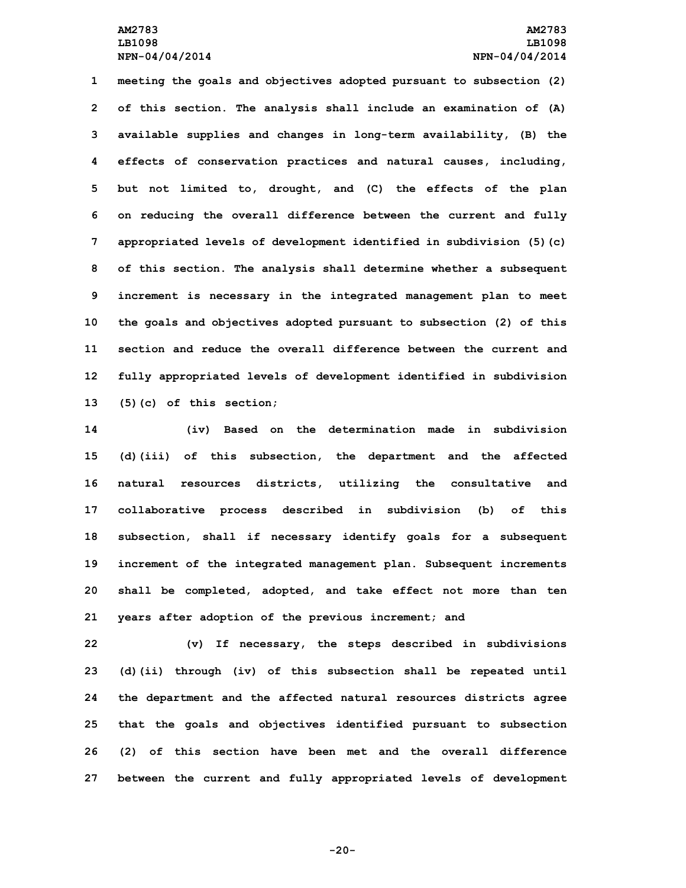# **AM2783 AM2783 LB1098 LB1098 NPN-04/04/2014 NPN-04/04/2014**

 **meeting the goals and objectives adopted pursuant to subsection (2) of this section. The analysis shall include an examination of (A) available supplies and changes in long-term availability, (B) the effects of conservation practices and natural causes, including, but not limited to, drought, and (C) the effects of the plan on reducing the overall difference between the current and fully appropriated levels of development identified in subdivision (5)(c) of this section. The analysis shall determine whether <sup>a</sup> subsequent increment is necessary in the integrated management plan to meet the goals and objectives adopted pursuant to subsection (2) of this section and reduce the overall difference between the current and fully appropriated levels of development identified in subdivision (5)(c) of this section;**

 **(iv) Based on the determination made in subdivision (d)(iii) of this subsection, the department and the affected natural resources districts, utilizing the consultative and collaborative process described in subdivision (b) of this subsection, shall if necessary identify goals for <sup>a</sup> subsequent increment of the integrated management plan. Subsequent increments shall be completed, adopted, and take effect not more than ten years after adoption of the previous increment; and**

 **(v) If necessary, the steps described in subdivisions (d)(ii) through (iv) of this subsection shall be repeated until the department and the affected natural resources districts agree that the goals and objectives identified pursuant to subsection (2) of this section have been met and the overall difference between the current and fully appropriated levels of development**

**-20-**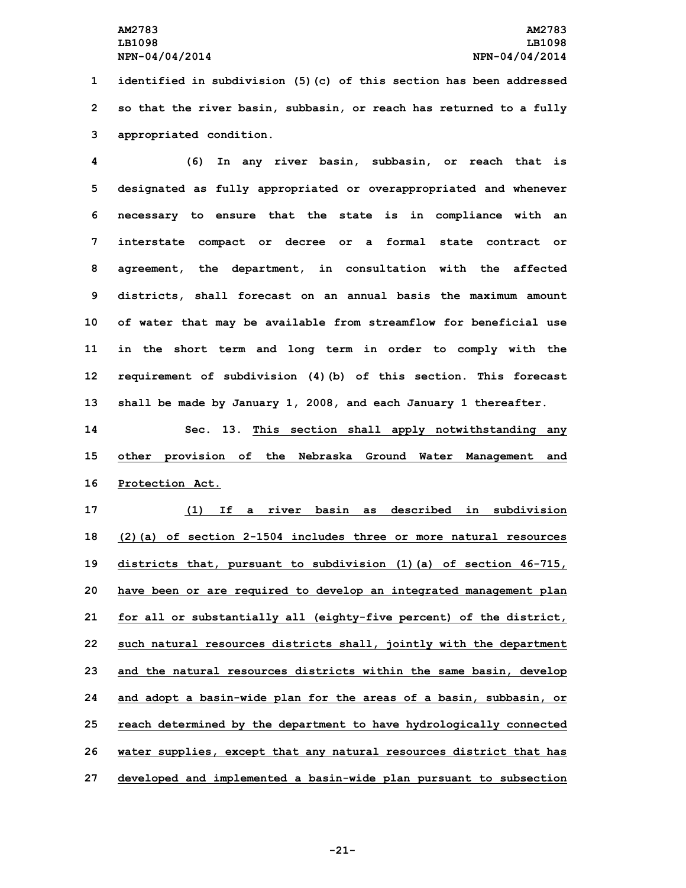**1 identified in subdivision (5)(c) of this section has been addressed 2 so that the river basin, subbasin, or reach has returned to <sup>a</sup> fully 3 appropriated condition.**

 **(6) In any river basin, subbasin, or reach that is designated as fully appropriated or overappropriated and whenever necessary to ensure that the state is in compliance with an interstate compact or decree or <sup>a</sup> formal state contract or agreement, the department, in consultation with the affected districts, shall forecast on an annual basis the maximum amount of water that may be available from streamflow for beneficial use in the short term and long term in order to comply with the requirement of subdivision (4)(b) of this section. This forecast shall be made by January 1, 2008, and each January 1 thereafter.**

**14 Sec. 13. This section shall apply notwithstanding any 15 other provision of the Nebraska Ground Water Management and 16 Protection Act.**

 **(1) If <sup>a</sup> river basin as described in subdivision (2)(a) of section 2-1504 includes three or more natural resources districts that, pursuant to subdivision (1)(a) of section 46-715, have been or are required to develop an integrated management plan for all or substantially all (eighty-five percent) of the district, such natural resources districts shall, jointly with the department and the natural resources districts within the same basin, develop and adopt <sup>a</sup> basin-wide plan for the areas of <sup>a</sup> basin, subbasin, or reach determined by the department to have hydrologically connected water supplies, except that any natural resources district that has developed and implemented <sup>a</sup> basin-wide plan pursuant to subsection**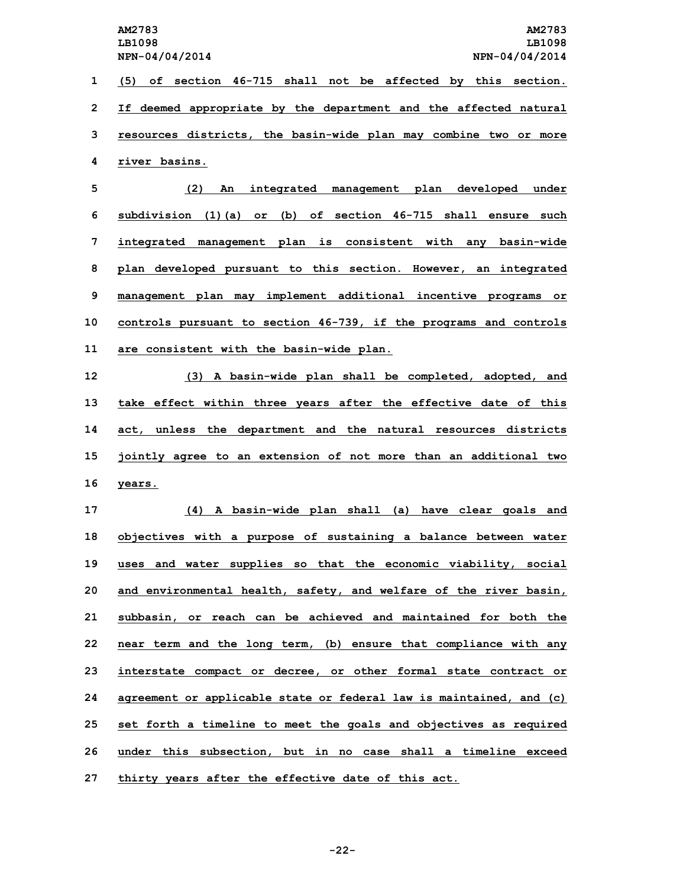**(5) of section 46-715 shall not be affected by this section. If deemed appropriate by the department and the affected natural resources districts, the basin-wide plan may combine two or more river basins.**

 **(2) An integrated management plan developed under subdivision (1)(a) or (b) of section 46-715 shall ensure such integrated management plan is consistent with any basin-wide plan developed pursuant to this section. However, an integrated management plan may implement additional incentive programs or controls pursuant to section 46-739, if the programs and controls are consistent with the basin-wide plan.**

 **(3) <sup>A</sup> basin-wide plan shall be completed, adopted, and take effect within three years after the effective date of this act, unless the department and the natural resources districts jointly agree to an extension of not more than an additional two 16 years.**

 **(4) <sup>A</sup> basin-wide plan shall (a) have clear goals and objectives with <sup>a</sup> purpose of sustaining <sup>a</sup> balance between water uses and water supplies so that the economic viability, social and environmental health, safety, and welfare of the river basin, subbasin, or reach can be achieved and maintained for both the near term and the long term, (b) ensure that compliance with any interstate compact or decree, or other formal state contract or agreement or applicable state or federal law is maintained, and (c) set forth <sup>a</sup> timeline to meet the goals and objectives as required under this subsection, but in no case shall <sup>a</sup> timeline exceed thirty years after the effective date of this act.**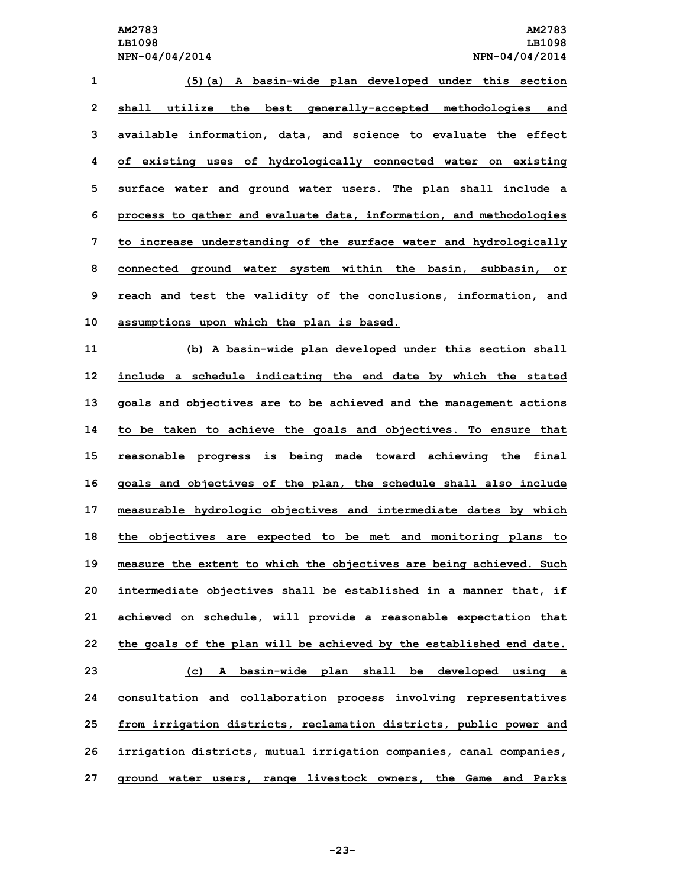**(5)(a) <sup>A</sup> basin-wide plan developed under this section shall utilize the best generally-accepted methodologies and available information, data, and science to evaluate the effect of existing uses of hydrologically connected water on existing surface water and ground water users. The plan shall include <sup>a</sup> process to gather and evaluate data, information, and methodologies to increase understanding of the surface water and hydrologically connected ground water system within the basin, subbasin, or reach and test the validity of the conclusions, information, and assumptions upon which the plan is based. (b) <sup>A</sup> basin-wide plan developed under this section shall include <sup>a</sup> schedule indicating the end date by which the stated goals and objectives are to be achieved and the management actions to be taken to achieve the goals and objectives. To ensure that reasonable progress is being made toward achieving the final goals and objectives of the plan, the schedule shall also include measurable hydrologic objectives and intermediate dates by which the objectives are expected to be met and monitoring plans to measure the extent to which the objectives are being achieved. Such intermediate objectives shall be established in <sup>a</sup> manner that, if achieved on schedule, will provide <sup>a</sup> reasonable expectation that the goals of the plan will be achieved by the established end date.**

 **(c) <sup>A</sup> basin-wide plan shall be developed using <sup>a</sup> consultation and collaboration process involving representatives from irrigation districts, reclamation districts, public power and irrigation districts, mutual irrigation companies, canal companies, ground water users, range livestock owners, the Game and Parks**

**-23-**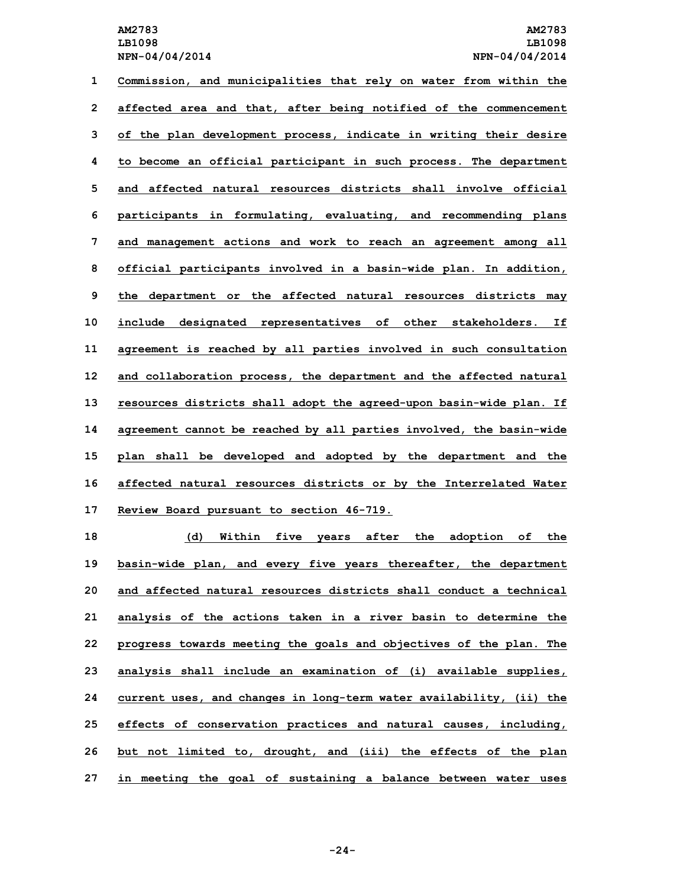**Commission, and municipalities that rely on water from within the affected area and that, after being notified of the commencement of the plan development process, indicate in writing their desire to become an official participant in such process. The department and affected natural resources districts shall involve official participants in formulating, evaluating, and recommending plans and management actions and work to reach an agreement among all official participants involved in <sup>a</sup> basin-wide plan. In addition, the department or the affected natural resources districts may include designated representatives of other stakeholders. If agreement is reached by all parties involved in such consultation and collaboration process, the department and the affected natural resources districts shall adopt the agreed-upon basin-wide plan. If agreement cannot be reached by all parties involved, the basin-wide plan shall be developed and adopted by the department and the affected natural resources districts or by the Interrelated Water Review Board pursuant to section 46-719.**

 **(d) Within five years after the adoption of the basin-wide plan, and every five years thereafter, the department and affected natural resources districts shall conduct a technical analysis of the actions taken in <sup>a</sup> river basin to determine the progress towards meeting the goals and objectives of the plan. The analysis shall include an examination of (i) available supplies, current uses, and changes in long-term water availability, (ii) the effects of conservation practices and natural causes, including, but not limited to, drought, and (iii) the effects of the plan in meeting the goal of sustaining <sup>a</sup> balance between water uses**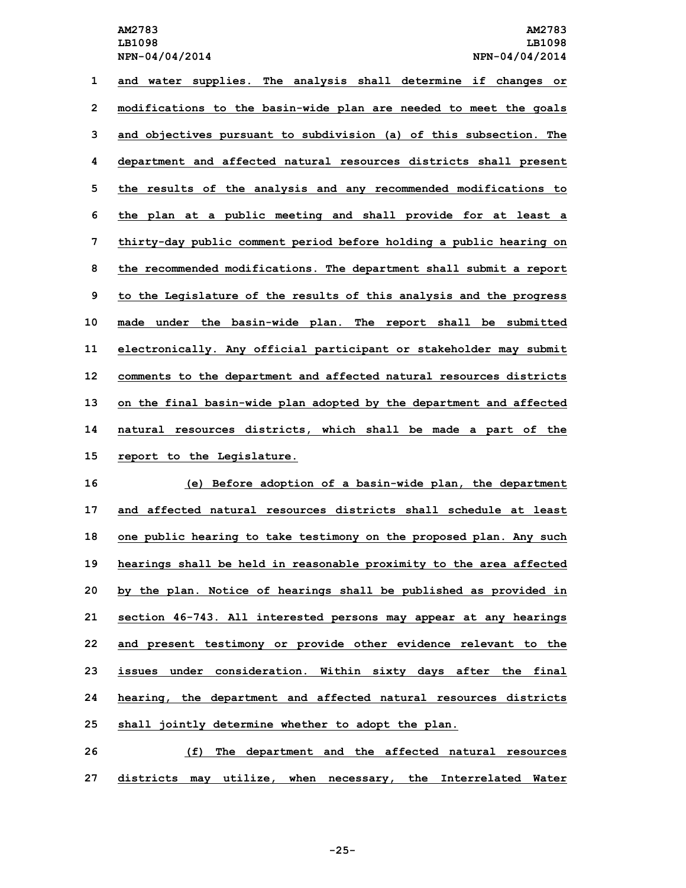**and water supplies. The analysis shall determine if changes or modifications to the basin-wide plan are needed to meet the goals and objectives pursuant to subdivision (a) of this subsection. The department and affected natural resources districts shall present the results of the analysis and any recommended modifications to the plan at <sup>a</sup> public meeting and shall provide for at least <sup>a</sup> thirty-day public comment period before holding <sup>a</sup> public hearing on the recommended modifications. The department shall submit <sup>a</sup> report to the Legislature of the results of this analysis and the progress made under the basin-wide plan. The report shall be submitted electronically. Any official participant or stakeholder may submit comments to the department and affected natural resources districts on the final basin-wide plan adopted by the department and affected natural resources districts, which shall be made <sup>a</sup> part of the report to the Legislature.**

 **(e) Before adoption of <sup>a</sup> basin-wide plan, the department and affected natural resources districts shall schedule at least one public hearing to take testimony on the proposed plan. Any such hearings shall be held in reasonable proximity to the area affected by the plan. Notice of hearings shall be published as provided in section 46-743. All interested persons may appear at any hearings and present testimony or provide other evidence relevant to the issues under consideration. Within sixty days after the final hearing, the department and affected natural resources districts shall jointly determine whether to adopt the plan.**

**26 (f) The department and the affected natural resources 27 districts may utilize, when necessary, the Interrelated Water**

**-25-**